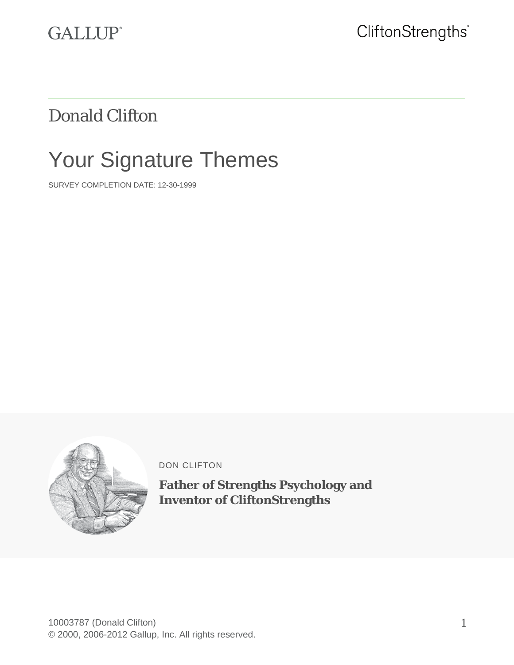

### Donald Clifton

## Your Signature Themes

SURVEY COMPLETION DATE: 12-30-1999



DON CLIFTON

**Father of Strengths Psychology and Inventor of CliftonStrengths**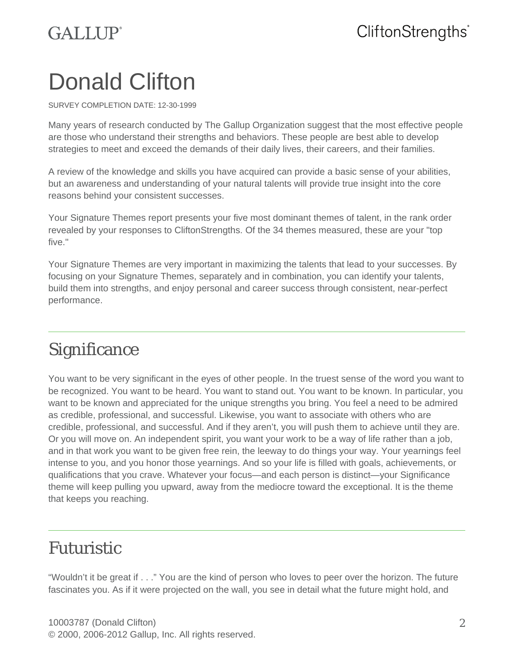# Donald Clifton

SURVEY COMPLETION DATE: 12-30-1999

Many years of research conducted by The Gallup Organization suggest that the most effective people are those who understand their strengths and behaviors. These people are best able to develop strategies to meet and exceed the demands of their daily lives, their careers, and their families.

A review of the knowledge and skills you have acquired can provide a basic sense of your abilities, but an awareness and understanding of your natural talents will provide true insight into the core reasons behind your consistent successes.

Your Signature Themes report presents your five most dominant themes of talent, in the rank order revealed by your responses to CliftonStrengths. Of the 34 themes measured, these are your "top five."

Your Signature Themes are very important in maximizing the talents that lead to your successes. By focusing on your Signature Themes, separately and in combination, you can identify your talents, build them into strengths, and enjoy personal and career success through consistent, near-perfect performance.

### **Significance**

You want to be very significant in the eyes of other people. In the truest sense of the word you want to be recognized. You want to be heard. You want to stand out. You want to be known. In particular, you want to be known and appreciated for the unique strengths you bring. You feel a need to be admired as credible, professional, and successful. Likewise, you want to associate with others who are credible, professional, and successful. And if they aren't, you will push them to achieve until they are. Or you will move on. An independent spirit, you want your work to be a way of life rather than a job, and in that work you want to be given free rein, the leeway to do things your way. Your yearnings feel intense to you, and you honor those yearnings. And so your life is filled with goals, achievements, or qualifications that you crave. Whatever your focus—and each person is distinct—your Significance theme will keep pulling you upward, away from the mediocre toward the exceptional. It is the theme that keeps you reaching.

#### Futuristic

"Wouldn't it be great if . . ." You are the kind of person who loves to peer over the horizon. The future fascinates you. As if it were projected on the wall, you see in detail what the future might hold, and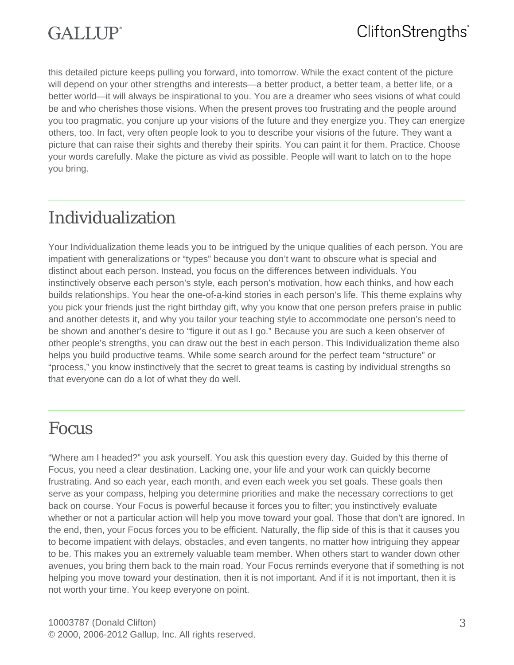

this detailed picture keeps pulling you forward, into tomorrow. While the exact content of the picture will depend on your other strengths and interests—a better product, a better team, a better life, or a better world—it will always be inspirational to you. You are a dreamer who sees visions of what could be and who cherishes those visions. When the present proves too frustrating and the people around you too pragmatic, you conjure up your visions of the future and they energize you. They can energize others, too. In fact, very often people look to you to describe your visions of the future. They want a picture that can raise their sights and thereby their spirits. You can paint it for them. Practice. Choose your words carefully. Make the picture as vivid as possible. People will want to latch on to the hope you bring.

#### Individualization

Your Individualization theme leads you to be intrigued by the unique qualities of each person. You are impatient with generalizations or "types" because you don't want to obscure what is special and distinct about each person. Instead, you focus on the differences between individuals. You instinctively observe each person's style, each person's motivation, how each thinks, and how each builds relationships. You hear the one-of-a-kind stories in each person's life. This theme explains why you pick your friends just the right birthday gift, why you know that one person prefers praise in public and another detests it, and why you tailor your teaching style to accommodate one person's need to be shown and another's desire to "figure it out as I go." Because you are such a keen observer of other people's strengths, you can draw out the best in each person. This Individualization theme also helps you build productive teams. While some search around for the perfect team "structure" or "process," you know instinctively that the secret to great teams is casting by individual strengths so that everyone can do a lot of what they do well.

#### Focus

"Where am I headed?" you ask yourself. You ask this question every day. Guided by this theme of Focus, you need a clear destination. Lacking one, your life and your work can quickly become frustrating. And so each year, each month, and even each week you set goals. These goals then serve as your compass, helping you determine priorities and make the necessary corrections to get back on course. Your Focus is powerful because it forces you to filter; you instinctively evaluate whether or not a particular action will help you move toward your goal. Those that don't are ignored. In the end, then, your Focus forces you to be efficient. Naturally, the flip side of this is that it causes you to become impatient with delays, obstacles, and even tangents, no matter how intriguing they appear to be. This makes you an extremely valuable team member. When others start to wander down other avenues, you bring them back to the main road. Your Focus reminds everyone that if something is not helping you move toward your destination, then it is not important. And if it is not important, then it is not worth your time. You keep everyone on point.